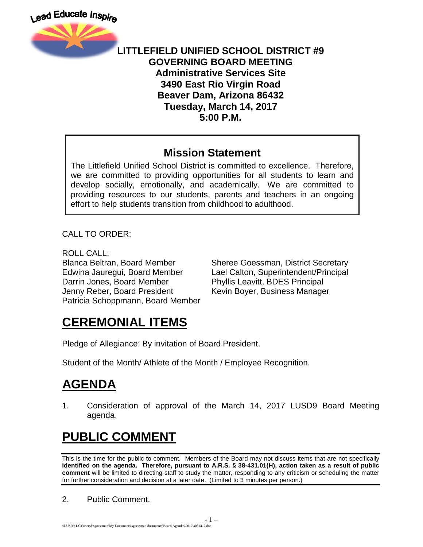

#### **LITTLEFIELD UNIFIED SCHOOL DISTRICT #9 GOVERNING BOARD MEETING Administrative Services Site 3490 East Rio Virgin Road Beaver Dam, Arizona 86432 Tuesday, March 14, 2017 5:00 P.M.**

#### **Mission Statement**

The Littlefield Unified School District is committed to excellence. Therefore, we are committed to providing opportunities for all students to learn and develop socially, emotionally, and academically. We are committed to providing resources to our students, parents and teachers in an ongoing effort to help students transition from childhood to adulthood.

CALL TO ORDER:

ROLL CALL: Darrin Jones, Board Member Phyllis Leavitt, BDES Principal Jenny Reber, Board President Kevin Boyer, Business Manager Patricia Schoppmann, Board Member

Blanca Beltran, Board Member Sheree Goessman, District Secretary Edwina Jauregui, Board Member Lael Calton, Superintendent/Principal

## **CEREMONIAL ITEMS**

Pledge of Allegiance: By invitation of Board President.

Student of the Month/ Athlete of the Month / Employee Recognition.

## **AGENDA**

1. Consideration of approval of the March 14, 2017 LUSD9 Board Meeting agenda.

# **PUBLIC COMMENT**

This is the time for the public to comment. Members of the Board may not discuss items that are not specifically **identified on the agenda. Therefore, pursuant to A.R.S. § 38-431.01(H), action taken as a result of public comment** will be limited to directing staff to study the matter, responding to any criticism or scheduling the matter for further consideration and decision at a later date. (Limited to 3 minutes per person.)

2. Public Comment.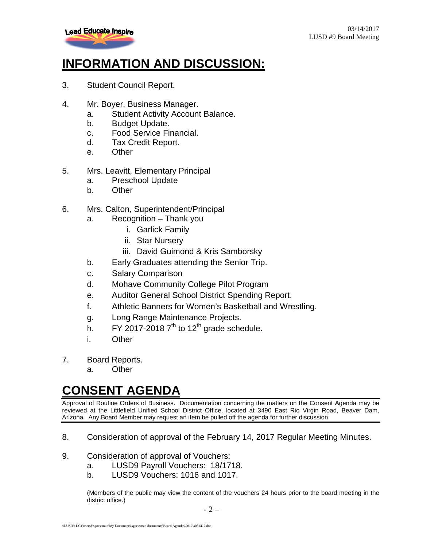

## **INFORMATION AND DISCUSSION:**

- 3. Student Council Report.
- 4. Mr. Boyer, Business Manager.
	- a. Student Activity Account Balance.
	- b. Budget Update.
	- c. Food Service Financial.
	- d. Tax Credit Report.
	- e. Other
- 5. Mrs. Leavitt, Elementary Principal
	- a. Preschool Update
	- b. Other
- 6. Mrs. Calton, Superintendent/Principal
	- a. Recognition Thank you
		- i. Garlick Family
		- ii. Star Nursery
		- iii. David Guimond & Kris Samborsky
	- b. Early Graduates attending the Senior Trip.
	- c. Salary Comparison
	- d. Mohave Community College Pilot Program
	- e. Auditor General School District Spending Report.
	- f. Athletic Banners for Women's Basketball and Wrestling.
	- g. Long Range Maintenance Projects.
	- h. FY 2017-2018  $7<sup>th</sup>$  to 12<sup>th</sup> grade schedule.
	- i. Other
- 7. Board Reports.
	- a. Other

#### **CONSENT AGENDA**

Approval of Routine Orders of Business. Documentation concerning the matters on the Consent Agenda may be reviewed at the Littlefield Unified School District Office, located at 3490 East Rio Virgin Road, Beaver Dam, Arizona. Any Board Member may request an item be pulled off the agenda for further discussion.

- 8. Consideration of approval of the February 14, 2017 Regular Meeting Minutes.
- 9. Consideration of approval of Vouchers:
	- a. LUSD9 Payroll Vouchers: 18/1718.
	- b. LUSD9 Vouchers: 1016 and 1017.

(Members of the public may view the content of the vouchers 24 hours prior to the board meeting in the district office.)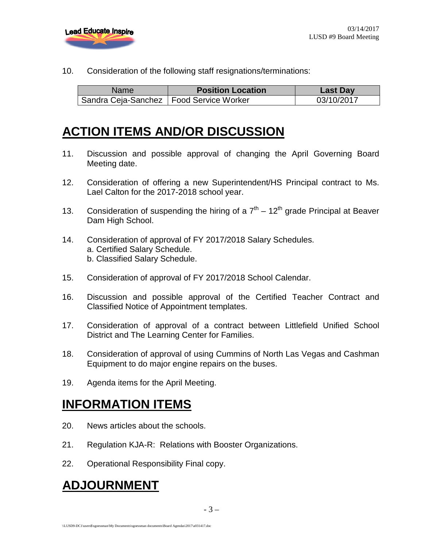

10. Consideration of the following staff resignations/terminations:

| <b>Name</b>                               | <b>Position Location</b> | <b>Last Day</b> |
|-------------------------------------------|--------------------------|-----------------|
| Sandra Ceja-Sanchez   Food Service Worker |                          | 03/10/2017      |

## **ACTION ITEMS AND/OR DISCUSSION**

- 11. Discussion and possible approval of changing the April Governing Board Meeting date.
- 12. Consideration of offering a new Superintendent/HS Principal contract to Ms. Lael Calton for the 2017-2018 school year.
- 13. Consideration of suspending the hiring of a  $7<sup>th</sup> 12<sup>th</sup>$  grade Principal at Beaver Dam High School.
- 14. Consideration of approval of FY 2017/2018 Salary Schedules. a. Certified Salary Schedule. b. Classified Salary Schedule.
- 15. Consideration of approval of FY 2017/2018 School Calendar.
- 16. Discussion and possible approval of the Certified Teacher Contract and Classified Notice of Appointment templates.
- 17. Consideration of approval of a contract between Littlefield Unified School District and The Learning Center for Families.
- 18. Consideration of approval of using Cummins of North Las Vegas and Cashman Equipment to do major engine repairs on the buses.
- 19. Agenda items for the April Meeting.

### **INFORMATION ITEMS**

- 20. News articles about the schools.
- 21. Regulation KJA-R: Relations with Booster Organizations.
- 22. Operational Responsibility Final copy.

### **ADJOURNMENT**